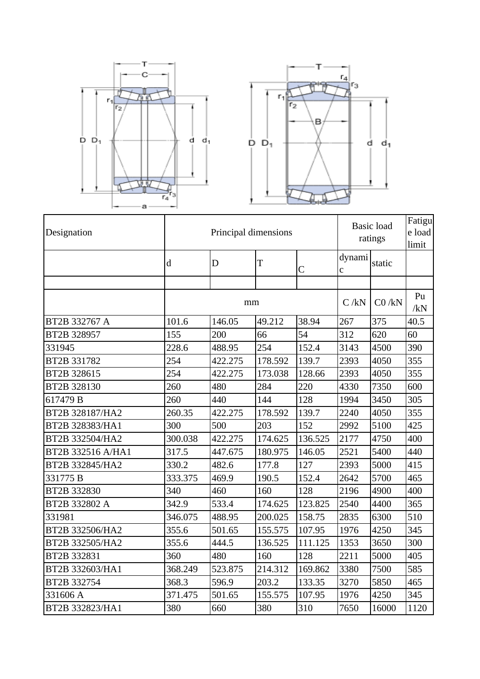



| Designation       |             | Principal dimensions |         | Fatigu<br><b>Basic</b> load<br>ratings |                       |        |      |
|-------------------|-------------|----------------------|---------|----------------------------------------|-----------------------|--------|------|
|                   | $\mathbf d$ | $\overline{D}$       | T       | $\mathcal{C}$                          | dynami<br>$\mathbf c$ | static |      |
|                   |             |                      |         |                                        |                       |        |      |
|                   |             | mm                   | C/kN    | $CO$ /kN                               | Pu<br>/kN             |        |      |
| BT2B 332767 A     | 101.6       | 146.05               | 49.212  | 38.94                                  | 267                   | 375    | 40.5 |
| BT2B 328957       | 155         | 200                  | 66      | 54                                     | 312                   | 620    | 60   |
| 331945            | 228.6       | 488.95               | 254     | 152.4                                  | 3143                  | 4500   | 390  |
| BT2B 331782       | 254         | 422.275              | 178.592 | 139.7                                  | 2393                  | 4050   | 355  |
| BT2B 328615       | 254         | 422.275              | 173.038 | 128.66                                 | 2393                  | 4050   | 355  |
| BT2B 328130       | 260         | 480                  | 284     | 220                                    | 4330                  | 7350   | 600  |
| 617479 B          | 260         | 440                  | 144     | 128                                    | 1994                  | 3450   | 305  |
| BT2B 328187/HA2   | 260.35      | 422.275              | 178.592 | 139.7                                  | 2240                  | 4050   | 355  |
| BT2B 328383/HA1   | 300         | 500                  | 203     | 152                                    | 2992                  | 5100   | 425  |
| BT2B 332504/HA2   | 300.038     | 422.275              | 174.625 | 136.525                                | 2177                  | 4750   | 400  |
| BT2B 332516 A/HA1 | 317.5       | 447.675              | 180.975 | 146.05                                 | 2521                  | 5400   | 440  |
| BT2B 332845/HA2   | 330.2       | 482.6                | 177.8   | 127                                    | 2393                  | 5000   | 415  |
| 331775 B          | 333.375     | 469.9                | 190.5   | 152.4                                  | 2642                  | 5700   | 465  |
| BT2B 332830       | 340         | 460                  | 160     | 128                                    | 2196                  | 4900   | 400  |
| BT2B 332802 A     | 342.9       | 533.4                | 174.625 | 123.825                                | 2540                  | 4400   | 365  |
| 331981            | 346.075     | 488.95               | 200.025 | 158.75                                 | 2835                  | 6300   | 510  |
| BT2B 332506/HA2   | 355.6       | 501.65               | 155.575 | 107.95                                 | 1976                  | 4250   | 345  |
| BT2B 332505/HA2   | 355.6       | 444.5                | 136.525 | 111.125                                | 1353                  | 3650   | 300  |
| BT2B 332831       | 360         | 480                  | 160     | 128                                    | 2211                  | 5000   | 405  |
| BT2B 332603/HA1   | 368.249     | 523.875              | 214.312 | 169.862                                | 3380                  | 7500   | 585  |
| BT2B 332754       | 368.3       | 596.9                | 203.2   | 133.35                                 | 3270                  | 5850   | 465  |
| 331606 A          | 371.475     | 501.65               | 155.575 | 107.95                                 | 1976                  | 4250   | 345  |
| BT2B 332823/HA1   | 380         | 660                  | 380     | 310                                    | 7650                  | 16000  | 1120 |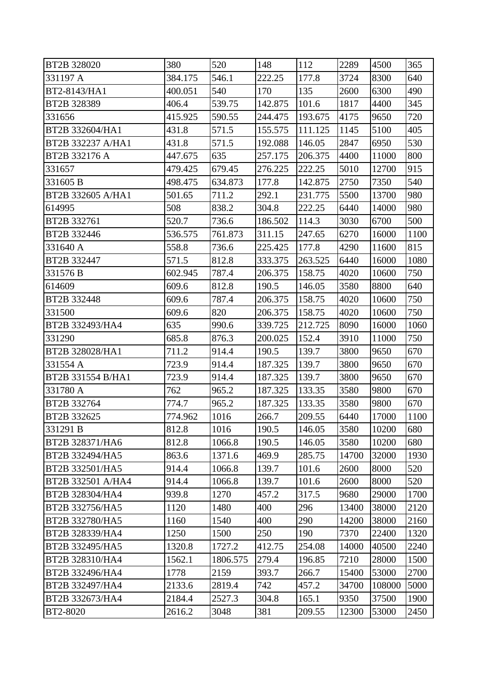| BT2B 328020        | 380     | 520      | 148     | 112     | 2289  | 4500   | 365  |
|--------------------|---------|----------|---------|---------|-------|--------|------|
| 331197 A           | 384.175 | 546.1    | 222.25  | 177.8   | 3724  | 8300   | 640  |
| BT2-8143/HA1       | 400.051 | 540      | 170     | 135     | 2600  | 6300   | 490  |
| BT2B 328389        | 406.4   | 539.75   | 142.875 | 101.6   | 1817  | 4400   | 345  |
| 331656             | 415.925 | 590.55   | 244.475 | 193.675 | 4175  | 9650   | 720  |
| BT2B 332604/HA1    | 431.8   | 571.5    | 155.575 | 111.125 | 1145  | 5100   | 405  |
| BT2B 332237 A/HA1  | 431.8   | 571.5    | 192.088 | 146.05  | 2847  | 6950   | 530  |
| BT2B 332176 A      | 447.675 | 635      | 257.175 | 206.375 | 4400  | 11000  | 800  |
| 331657             | 479.425 | 679.45   | 276.225 | 222.25  | 5010  | 12700  | 915  |
| 331605 B           | 498.475 | 634.873  | 177.8   | 142.875 | 2750  | 7350   | 540  |
| BT2B 332605 A/HA1  | 501.65  | 711.2    | 292.1   | 231.775 | 5500  | 13700  | 980  |
| 614995             | 508     | 838.2    | 304.8   | 222.25  | 6440  | 14000  | 980  |
| BT2B 332761        | 520.7   | 736.6    | 186.502 | 114.3   | 3030  | 6700   | 500  |
| BT2B 332446        | 536.575 | 761.873  | 311.15  | 247.65  | 6270  | 16000  | 1100 |
| 331640 A           | 558.8   | 736.6    | 225.425 | 177.8   | 4290  | 11600  | 815  |
| BT2B 332447        | 571.5   | 812.8    | 333.375 | 263.525 | 6440  | 16000  | 1080 |
| 331576 B           | 602.945 | 787.4    | 206.375 | 158.75  | 4020  | 10600  | 750  |
| 614609             | 609.6   | 812.8    | 190.5   | 146.05  | 3580  | 8800   | 640  |
| BT2B 332448        | 609.6   | 787.4    | 206.375 | 158.75  | 4020  | 10600  | 750  |
| 331500             | 609.6   | 820      | 206.375 | 158.75  | 4020  | 10600  | 750  |
| BT2B 332493/HA4    | 635     | 990.6    | 339.725 | 212.725 | 8090  | 16000  | 1060 |
| 331290             | 685.8   | 876.3    | 200.025 | 152.4   | 3910  | 11000  | 750  |
| BT2B 328028/HA1    | 711.2   | 914.4    | 190.5   | 139.7   | 3800  | 9650   | 670  |
| 331554 A           | 723.9   | 914.4    | 187.325 | 139.7   | 3800  | 9650   | 670  |
| BT2B 331554 B/HA1  | 723.9   | 914.4    | 187.325 | 139.7   | 3800  | 9650   | 670  |
| 331780 A           | 762     | 965.2    | 187.325 | 133.35  | 3580  | 9800   | 670  |
| <b>BT2B 332764</b> | 774.7   | 965.2    | 187.325 | 133.35  | 3580  | 9800   | 670  |
| BT2B 332625        | 774.962 | 1016     | 266.7   | 209.55  | 6440  | 17000  | 1100 |
| 331291 B           | 812.8   | 1016     | 190.5   | 146.05  | 3580  | 10200  | 680  |
| BT2B 328371/HA6    | 812.8   | 1066.8   | 190.5   | 146.05  | 3580  | 10200  | 680  |
| BT2B 332494/HA5    | 863.6   | 1371.6   | 469.9   | 285.75  | 14700 | 32000  | 1930 |
| BT2B 332501/HA5    | 914.4   | 1066.8   | 139.7   | 101.6   | 2600  | 8000   | 520  |
| BT2B 332501 A/HA4  | 914.4   | 1066.8   | 139.7   | 101.6   | 2600  | 8000   | 520  |
| BT2B 328304/HA4    | 939.8   | 1270     | 457.2   | 317.5   | 9680  | 29000  | 1700 |
| BT2B 332756/HA5    | 1120    | 1480     | 400     | 296     | 13400 | 38000  | 2120 |
| BT2B 332780/HA5    | 1160    | 1540     | 400     | 290     | 14200 | 38000  | 2160 |
| BT2B 328339/HA4    | 1250    | 1500     | 250     | 190     | 7370  | 22400  | 1320 |
| BT2B 332495/HA5    | 1320.8  | 1727.2   | 412.75  | 254.08  | 14000 | 40500  | 2240 |
| BT2B 328310/HA4    | 1562.1  | 1806.575 | 279.4   | 196.85  | 7210  | 28000  | 1500 |
| BT2B 332496/HA4    | 1778    | 2159     | 393.7   | 266.7   | 15400 | 53000  | 2700 |
| BT2B 332497/HA4    | 2133.6  | 2819.4   | 742     | 457.2   | 34700 | 108000 | 5000 |
| BT2B 332673/HA4    | 2184.4  | 2527.3   | 304.8   | 165.1   | 9350  | 37500  | 1900 |
| BT2-8020           | 2616.2  | 3048     | 381     | 209.55  | 12300 | 53000  | 2450 |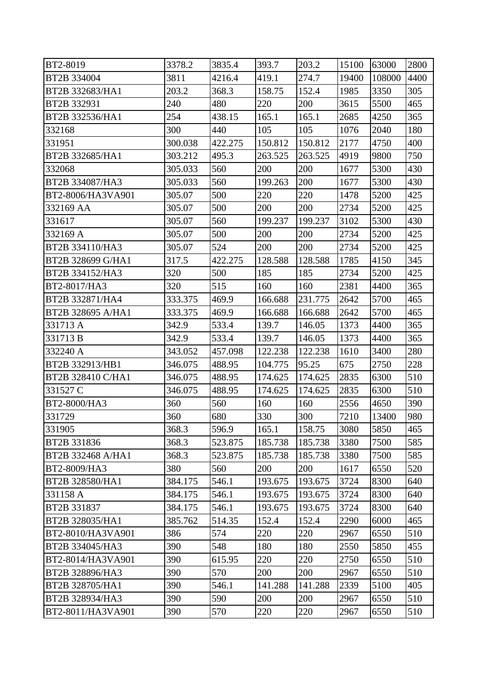| BT2-8019           | 3378.2  | 3835.4  | 393.7   | 203.2   | 15100 | 63000  | 2800 |
|--------------------|---------|---------|---------|---------|-------|--------|------|
| BT2B 334004        | 3811    | 4216.4  | 419.1   | 274.7   | 19400 | 108000 | 4400 |
| BT2B 332683/HA1    | 203.2   | 368.3   | 158.75  | 152.4   | 1985  | 3350   | 305  |
| <b>BT2B 332931</b> | 240     | 480     | 220     | 200     | 3615  | 5500   | 465  |
| BT2B 332536/HA1    | 254     | 438.15  | 165.1   | 165.1   | 2685  | 4250   | 365  |
| 332168             | 300     | 440     | 105     | 105     | 1076  | 2040   | 180  |
| 331951             | 300.038 | 422.275 | 150.812 | 150.812 | 2177  | 4750   | 400  |
| BT2B 332685/HA1    | 303.212 | 495.3   | 263.525 | 263.525 | 4919  | 9800   | 750  |
| 332068             | 305.033 | 560     | 200     | 200     | 1677  | 5300   | 430  |
| BT2B 334087/HA3    | 305.033 | 560     | 199.263 | 200     | 1677  | 5300   | 430  |
| BT2-8006/HA3VA901  | 305.07  | 500     | 220     | 220     | 1478  | 5200   | 425  |
| 332169 AA          | 305.07  | 500     | 200     | 200     | 2734  | 5200   | 425  |
| 331617             | 305.07  | 560     | 199.237 | 199.237 | 3102  | 5300   | 430  |
| 332169 A           | 305.07  | 500     | 200     | 200     | 2734  | 5200   | 425  |
| BT2B 334110/HA3    | 305.07  | 524     | 200     | 200     | 2734  | 5200   | 425  |
| BT2B 328699 G/HA1  | 317.5   | 422.275 | 128.588 | 128.588 | 1785  | 4150   | 345  |
| BT2B 334152/HA3    | 320     | 500     | 185     | 185     | 2734  | 5200   | 425  |
| BT2-8017/HA3       | 320     | 515     | 160     | 160     | 2381  | 4400   | 365  |
| BT2B 332871/HA4    | 333.375 | 469.9   | 166.688 | 231.775 | 2642  | 5700   | 465  |
| BT2B 328695 A/HA1  | 333.375 | 469.9   | 166.688 | 166.688 | 2642  | 5700   | 465  |
| 331713 A           | 342.9   | 533.4   | 139.7   | 146.05  | 1373  | 4400   | 365  |
| 331713 B           | 342.9   | 533.4   | 139.7   | 146.05  | 1373  | 4400   | 365  |
| 332240 A           | 343.052 | 457.098 | 122.238 | 122.238 | 1610  | 3400   | 280  |
| BT2B 332913/HB1    | 346.075 | 488.95  | 104.775 | 95.25   | 675   | 2750   | 228  |
| BT2B 328410 C/HA1  | 346.075 | 488.95  | 174.625 | 174.625 | 2835  | 6300   | 510  |
| 331527 C           | 346.075 | 488.95  | 174.625 | 174.625 | 2835  | 6300   | 510  |
| BT2-8000/HA3       | 360     | 560     | 160     | 160     | 2556  | 4650   | 390  |
| 331729             | 360     | 680     | 330     | 300     | 7210  | 13400  | 980  |
| 331905             | 368.3   | 596.9   | 165.1   | 158.75  | 3080  | 5850   | 465  |
| BT2B 331836        | 368.3   | 523.875 | 185.738 | 185.738 | 3380  | 7500   | 585  |
| BT2B 332468 A/HA1  | 368.3   | 523.875 | 185.738 | 185.738 | 3380  | 7500   | 585  |
| BT2-8009/HA3       | 380     | 560     | 200     | 200     | 1617  | 6550   | 520  |
| BT2B 328580/HA1    | 384.175 | 546.1   | 193.675 | 193.675 | 3724  | 8300   | 640  |
| 331158 A           | 384.175 | 546.1   | 193.675 | 193.675 | 3724  | 8300   | 640  |
| BT2B 331837        | 384.175 | 546.1   | 193.675 | 193.675 | 3724  | 8300   | 640  |
| BT2B 328035/HA1    | 385.762 | 514.35  | 152.4   | 152.4   | 2290  | 6000   | 465  |
| BT2-8010/HA3VA901  | 386     | 574     | 220     | 220     | 2967  | 6550   | 510  |
| BT2B 334045/HA3    | 390     | 548     | 180     | 180     | 2550  | 5850   | 455  |
| BT2-8014/HA3VA901  | 390     | 615.95  | 220     | 220     | 2750  | 6550   | 510  |
| BT2B 328896/HA3    | 390     | 570     | 200     | 200     | 2967  | 6550   | 510  |
| BT2B 328705/HA1    | 390     | 546.1   | 141.288 | 141.288 | 2339  | 5100   | 405  |
| BT2B 328934/HA3    | 390     | 590     | 200     | 200     | 2967  | 6550   | 510  |
| BT2-8011/HA3VA901  | 390     | 570     | 220     | 220     | 2967  | 6550   | 510  |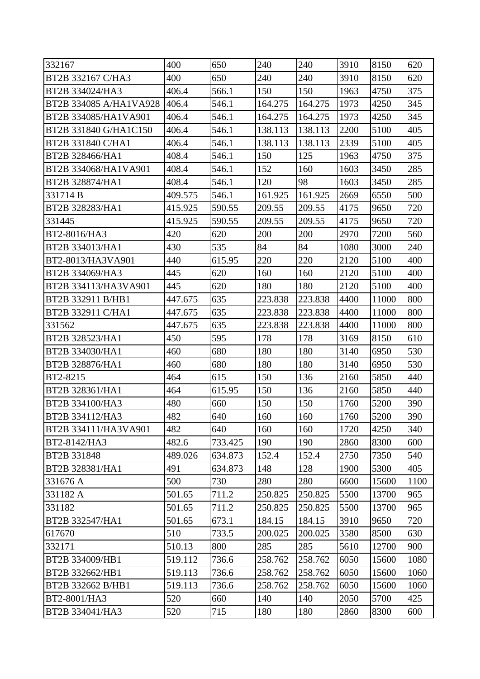| 332167                 | 400     | 650     | 240     | 240     | 3910 | 8150  | 620  |
|------------------------|---------|---------|---------|---------|------|-------|------|
| BT2B 332167 C/HA3      | 400     | 650     | 240     | 240     | 3910 | 8150  | 620  |
| BT2B 334024/HA3        | 406.4   | 566.1   | 150     | 150     | 1963 | 4750  | 375  |
| BT2B 334085 A/HA1VA928 | 406.4   | 546.1   | 164.275 | 164.275 | 1973 | 4250  | 345  |
| BT2B 334085/HA1VA901   | 406.4   | 546.1   | 164.275 | 164.275 | 1973 | 4250  | 345  |
| BT2B 331840 G/HA1C150  | 406.4   | 546.1   | 138.113 | 138.113 | 2200 | 5100  | 405  |
| BT2B 331840 C/HA1      | 406.4   | 546.1   | 138.113 | 138.113 | 2339 | 5100  | 405  |
| BT2B 328466/HA1        | 408.4   | 546.1   | 150     | 125     | 1963 | 4750  | 375  |
| BT2B 334068/HA1VA901   | 408.4   | 546.1   | 152     | 160     | 1603 | 3450  | 285  |
| BT2B 328874/HA1        | 408.4   | 546.1   | 120     | 98      | 1603 | 3450  | 285  |
| 331714 B               | 409.575 | 546.1   | 161.925 | 161.925 | 2669 | 6550  | 500  |
| BT2B 328283/HA1        | 415.925 | 590.55  | 209.55  | 209.55  | 4175 | 9650  | 720  |
| 331445                 | 415.925 | 590.55  | 209.55  | 209.55  | 4175 | 9650  | 720  |
| BT2-8016/HA3           | 420     | 620     | 200     | 200     | 2970 | 7200  | 560  |
| BT2B 334013/HA1        | 430     | 535     | 84      | 84      | 1080 | 3000  | 240  |
| BT2-8013/HA3VA901      | 440     | 615.95  | 220     | 220     | 2120 | 5100  | 400  |
| BT2B 334069/HA3        | 445     | 620     | 160     | 160     | 2120 | 5100  | 400  |
| BT2B 334113/HA3VA901   | 445     | 620     | 180     | 180     | 2120 | 5100  | 400  |
| BT2B 332911 B/HB1      | 447.675 | 635     | 223.838 | 223.838 | 4400 | 11000 | 800  |
| BT2B 332911 C/HA1      | 447.675 | 635     | 223.838 | 223.838 | 4400 | 11000 | 800  |
| 331562                 | 447.675 | 635     | 223.838 | 223.838 | 4400 | 11000 | 800  |
| BT2B 328523/HA1        | 450     | 595     | 178     | 178     | 3169 | 8150  | 610  |
| BT2B 334030/HA1        | 460     | 680     | 180     | 180     | 3140 | 6950  | 530  |
| BT2B 328876/HA1        | 460     | 680     | 180     | 180     | 3140 | 6950  | 530  |
| BT2-8215               | 464     | 615     | 150     | 136     | 2160 | 5850  | 440  |
| BT2B 328361/HA1        | 464     | 615.95  | 150     | 136     | 2160 | 5850  | 440  |
| BT2B 334100/HA3        | 480     | 660     | 150     | 150     | 1760 | 5200  | 390  |
| BT2B 334112/HA3        | 482     | 640     | 160     | 160     | 1760 | 5200  | 390  |
| BT2B 334111/HA3VA901   | 482     | 640     | 160     | 160     | 1720 | 4250  | 340  |
| BT2-8142/HA3           | 482.6   | 733.425 | 190     | 190     | 2860 | 8300  | 600  |
| BT2B 331848            | 489.026 | 634.873 | 152.4   | 152.4   | 2750 | 7350  | 540  |
| BT2B 328381/HA1        | 491     | 634.873 | 148     | 128     | 1900 | 5300  | 405  |
| 331676 A               | 500     | 730     | 280     | 280     | 6600 | 15600 | 1100 |
| 331182 A               | 501.65  | 711.2   | 250.825 | 250.825 | 5500 | 13700 | 965  |
| 331182                 | 501.65  | 711.2   | 250.825 | 250.825 | 5500 | 13700 | 965  |
| BT2B 332547/HA1        | 501.65  | 673.1   | 184.15  | 184.15  | 3910 | 9650  | 720  |
| 617670                 | 510     | 733.5   | 200.025 | 200.025 | 3580 | 8500  | 630  |
| 332171                 | 510.13  | 800     | 285     | 285     | 5610 | 12700 | 900  |
| BT2B 334009/HB1        | 519.112 | 736.6   | 258.762 | 258.762 | 6050 | 15600 | 1080 |
| BT2B 332662/HB1        | 519.113 | 736.6   | 258.762 | 258.762 | 6050 | 15600 | 1060 |
| BT2B 332662 B/HB1      | 519.113 | 736.6   | 258.762 | 258.762 | 6050 | 15600 | 1060 |
| BT2-8001/HA3           | 520     | 660     | 140     | 140     | 2050 | 5700  | 425  |
| BT2B 334041/HA3        | 520     | 715     | 180     | 180     | 2860 | 8300  | 600  |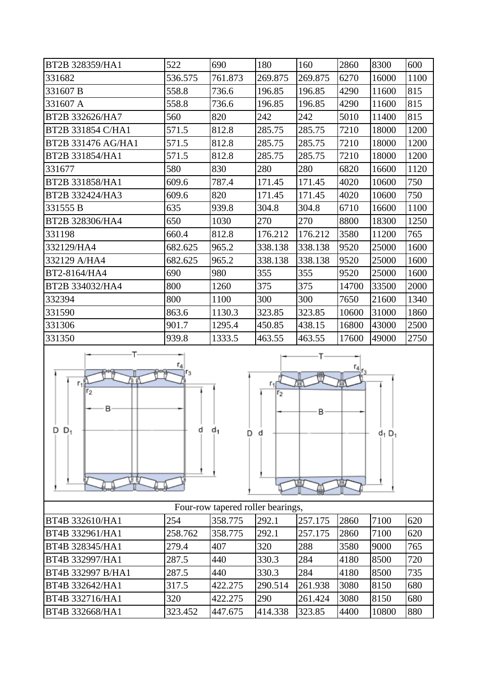| BT2B 328359/HA1    | 522     | 690     | 180     | 160     | 2860  | 8300  | 600  |
|--------------------|---------|---------|---------|---------|-------|-------|------|
| 331682             | 536.575 | 761.873 | 269.875 | 269.875 | 6270  | 16000 | 1100 |
| 331607 B           | 558.8   | 736.6   | 196.85  | 196.85  | 4290  | 11600 | 815  |
| 331607 A           | 558.8   | 736.6   | 196.85  | 196.85  | 4290  | 11600 | 815  |
| BT2B 332626/HA7    | 560     | 820     | 242     | 242     | 5010  | 11400 | 815  |
| BT2B 331854 C/HA1  | 571.5   | 812.8   | 285.75  | 285.75  | 7210  | 18000 | 1200 |
| BT2B 331476 AG/HA1 | 571.5   | 812.8   | 285.75  | 285.75  | 7210  | 18000 | 1200 |
| BT2B 331854/HA1    | 571.5   | 812.8   | 285.75  | 285.75  | 7210  | 18000 | 1200 |
| 331677             | 580     | 830     | 280     | 280     | 6820  | 16600 | 1120 |
| BT2B 331858/HA1    | 609.6   | 787.4   | 171.45  | 171.45  | 4020  | 10600 | 750  |
| BT2B 332424/HA3    | 609.6   | 820     | 171.45  | 171.45  | 4020  | 10600 | 750  |
| 331555 B           | 635     | 939.8   | 304.8   | 304.8   | 6710  | 16600 | 1100 |
| BT2B 328306/HA4    | 650     | 1030    | 270     | 270     | 8800  | 18300 | 1250 |
| 331198             | 660.4   | 812.8   | 176.212 | 176.212 | 3580  | 11200 | 765  |
| 332129/HA4         | 682.625 | 965.2   | 338.138 | 338.138 | 9520  | 25000 | 1600 |
| 332129 A/HA4       | 682.625 | 965.2   | 338.138 | 338.138 | 9520  | 25000 | 1600 |
| BT2-8164/HA4       | 690     | 980     | 355     | 355     | 9520  | 25000 | 1600 |
| BT2B 334032/HA4    | 800     | 1260    | 375     | 375     | 14700 | 33500 | 2000 |
| 332394             | 800     | 1100    | 300     | 300     | 7650  | 21600 | 1340 |
| 331590             | 863.6   | 1130.3  | 323.85  | 323.85  | 10600 | 31000 | 1860 |
| 331306             | 901.7   | 1295.4  | 450.85  | 438.15  | 16800 | 43000 | 2500 |
| 331350             | 939.8   | 1333.5  | 463.55  | 463.55  | 17600 | 49000 | 2750 |





| Four-row tapered roller bearings, |         |         |         |         |      |       |     |  |  |  |  |
|-----------------------------------|---------|---------|---------|---------|------|-------|-----|--|--|--|--|
| BT4B 332610/HA1                   | 254     | 358.775 | 292.1   | 257.175 | 2860 | 7100  | 620 |  |  |  |  |
| BT4B 332961/HA1                   | 258.762 | 358.775 | 292.1   | 257.175 | 2860 | 7100  | 620 |  |  |  |  |
| BT4B 328345/HA1                   | 279.4   | 407     | 320     | 288     | 3580 | 9000  | 765 |  |  |  |  |
| BT4B 332997/HA1                   | 287.5   | 440     | 330.3   | 284     | 4180 | 8500  | 720 |  |  |  |  |
| BT4B 332997 B/HA1                 | 287.5   | 440     | 330.3   | 284     | 4180 | 8500  | 735 |  |  |  |  |
| BT4B 332642/HA1                   | 317.5   | 422.275 | 290.514 | 261.938 | 3080 | 8150  | 680 |  |  |  |  |
| BT4B 332716/HA1                   | 320     | 422.275 | 290     | 261.424 | 3080 | 8150  | 680 |  |  |  |  |
| BT4B 332668/HA1                   | 323.452 | 447.675 | 414.338 | 323.85  | 4400 | 10800 | 880 |  |  |  |  |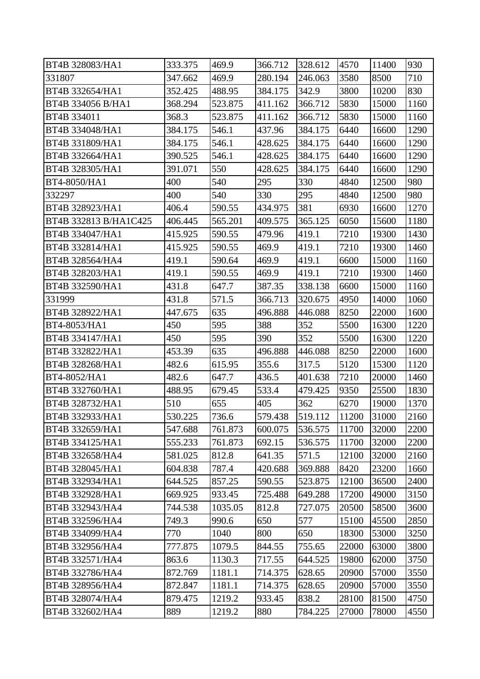| BT4B 328083/HA1       | 333.375 | 469.9   | 366.712 | 328.612 | 4570  | 11400 | 930  |
|-----------------------|---------|---------|---------|---------|-------|-------|------|
| 331807                | 347.662 | 469.9   | 280.194 | 246.063 | 3580  | 8500  | 710  |
| BT4B 332654/HA1       | 352.425 | 488.95  | 384.175 | 342.9   | 3800  | 10200 | 830  |
| BT4B 334056 B/HA1     | 368.294 | 523.875 | 411.162 | 366.712 | 5830  | 15000 | 1160 |
| BT4B 334011           | 368.3   | 523.875 | 411.162 | 366.712 | 5830  | 15000 | 1160 |
| BT4B 334048/HA1       | 384.175 | 546.1   | 437.96  | 384.175 | 6440  | 16600 | 1290 |
| BT4B 331809/HA1       | 384.175 | 546.1   | 428.625 | 384.175 | 6440  | 16600 | 1290 |
| BT4B 332664/HA1       | 390.525 | 546.1   | 428.625 | 384.175 | 6440  | 16600 | 1290 |
| BT4B 328305/HA1       | 391.071 | 550     | 428.625 | 384.175 | 6440  | 16600 | 1290 |
| <b>BT4-8050/HA1</b>   | 400     | 540     | 295     | 330     | 4840  | 12500 | 980  |
| 332297                | 400     | 540     | 330     | 295     | 4840  | 12500 | 980  |
| BT4B 328923/HA1       | 406.4   | 590.55  | 434.975 | 381     | 6930  | 16600 | 1270 |
| BT4B 332813 B/HA1C425 | 406.445 | 565.201 | 409.575 | 365.125 | 6050  | 15600 | 1180 |
| BT4B 334047/HA1       | 415.925 | 590.55  | 479.96  | 419.1   | 7210  | 19300 | 1430 |
| BT4B 332814/HA1       | 415.925 | 590.55  | 469.9   | 419.1   | 7210  | 19300 | 1460 |
| BT4B 328564/HA4       | 419.1   | 590.64  | 469.9   | 419.1   | 6600  | 15000 | 1160 |
| BT4B 328203/HA1       | 419.1   | 590.55  | 469.9   | 419.1   | 7210  | 19300 | 1460 |
| BT4B 332590/HA1       | 431.8   | 647.7   | 387.35  | 338.138 | 6600  | 15000 | 1160 |
| 331999                | 431.8   | 571.5   | 366.713 | 320.675 | 4950  | 14000 | 1060 |
| BT4B 328922/HA1       | 447.675 | 635     | 496.888 | 446.088 | 8250  | 22000 | 1600 |
| BT4-8053/HA1          | 450     | 595     | 388     | 352     | 5500  | 16300 | 1220 |
| BT4B 334147/HA1       | 450     | 595     | 390     | 352     | 5500  | 16300 | 1220 |
| BT4B 332822/HA1       | 453.39  | 635     | 496.888 | 446.088 | 8250  | 22000 | 1600 |
| BT4B 328268/HA1       | 482.6   | 615.95  | 355.6   | 317.5   | 5120  | 15300 | 1120 |
| BT4-8052/HA1          | 482.6   | 647.7   | 436.5   | 401.638 | 7210  | 20000 | 1460 |
| BT4B 332760/HA1       | 488.95  | 679.45  | 533.4   | 479.425 | 9350  | 25500 | 1830 |
| BT4B 328732/HA1       | 510     | 655     | 405     | 362     | 6270  | 19000 | 1370 |
| BT4B 332933/HA1       | 530.225 | 736.6   | 579.438 | 519.112 | 11200 | 31000 | 2160 |
| BT4B 332659/HA1       | 547.688 | 761.873 | 600.075 | 536.575 | 11700 | 32000 | 2200 |
| BT4B 334125/HA1       | 555.233 | 761.873 | 692.15  | 536.575 | 11700 | 32000 | 2200 |
| BT4B 332658/HA4       | 581.025 | 812.8   | 641.35  | 571.5   | 12100 | 32000 | 2160 |
| BT4B 328045/HA1       | 604.838 | 787.4   | 420.688 | 369.888 | 8420  | 23200 | 1660 |
| BT4B 332934/HA1       | 644.525 | 857.25  | 590.55  | 523.875 | 12100 | 36500 | 2400 |
| BT4B 332928/HA1       | 669.925 | 933.45  | 725.488 | 649.288 | 17200 | 49000 | 3150 |
| BT4B 332943/HA4       | 744.538 | 1035.05 | 812.8   | 727.075 | 20500 | 58500 | 3600 |
| BT4B 332596/HA4       | 749.3   | 990.6   | 650     | 577     | 15100 | 45500 | 2850 |
| BT4B 334099/HA4       | 770     | 1040    | 800     | 650     | 18300 | 53000 | 3250 |
| BT4B 332956/HA4       | 777.875 | 1079.5  | 844.55  | 755.65  | 22000 | 63000 | 3800 |
| BT4B 332571/HA4       | 863.6   | 1130.3  | 717.55  | 644.525 | 19800 | 62000 | 3750 |
| BT4B 332786/HA4       | 872.769 | 1181.1  | 714.375 | 628.65  | 20900 | 57000 | 3550 |
| BT4B 328956/HA4       | 872.847 | 1181.1  | 714.375 | 628.65  | 20900 | 57000 | 3550 |
| BT4B 328074/HA4       | 879.475 | 1219.2  | 933.45  | 838.2   | 28100 | 81500 | 4750 |
| BT4B 332602/HA4       | 889     | 1219.2  | 880     | 784.225 | 27000 | 78000 | 4550 |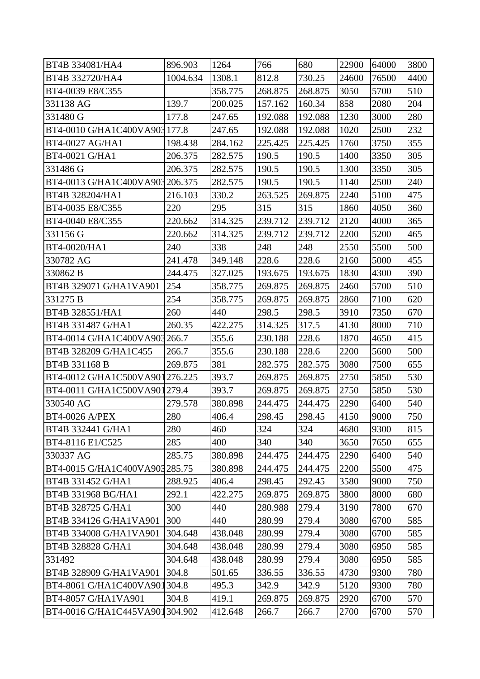| BT4B 334081/HA4                | 896.903  | 1264    | 766     | 680     | 22900 | 64000 | 3800 |
|--------------------------------|----------|---------|---------|---------|-------|-------|------|
| BT4B 332720/HA4                | 1004.634 | 1308.1  | 812.8   | 730.25  | 24600 | 76500 | 4400 |
| BT4-0039 E8/C355               |          | 358.775 | 268.875 | 268.875 | 3050  | 5700  | 510  |
| 331138 AG                      | 139.7    | 200.025 | 157.162 | 160.34  | 858   | 2080  | 204  |
| 331480 G                       | 177.8    | 247.65  | 192.088 | 192.088 | 1230  | 3000  | 280  |
| BT4-0010 G/HA1C400VA903177.8   |          | 247.65  | 192.088 | 192.088 | 1020  | 2500  | 232  |
| BT4-0027 AG/HA1                | 198.438  | 284.162 | 225.425 | 225.425 | 1760  | 3750  | 355  |
| BT4-0021 G/HA1                 | 206.375  | 282.575 | 190.5   | 190.5   | 1400  | 3350  | 305  |
| 331486 G                       | 206.375  | 282.575 | 190.5   | 190.5   | 1300  | 3350  | 305  |
| BT4-0013 G/HA1C400VA903206.375 |          | 282.575 | 190.5   | 190.5   | 1140  | 2500  | 240  |
| BT4B 328204/HA1                | 216.103  | 330.2   | 263.525 | 269.875 | 2240  | 5100  | 475  |
| BT4-0035 E8/C355               | 220      | 295     | 315     | 315     | 1860  | 4050  | 360  |
| BT4-0040 E8/C355               | 220.662  | 314.325 | 239.712 | 239.712 | 2120  | 4000  | 365  |
| 331156 G                       | 220.662  | 314.325 | 239.712 | 239.712 | 2200  | 5200  | 465  |
| BT4-0020/HA1                   | 240      | 338     | 248     | 248     | 2550  | 5500  | 500  |
| 330782 AG                      | 241.478  | 349.148 | 228.6   | 228.6   | 2160  | 5000  | 455  |
| 330862 B                       | 244.475  | 327.025 | 193.675 | 193.675 | 1830  | 4300  | 390  |
| BT4B 329071 G/HA1VA901         | 254      | 358.775 | 269.875 | 269.875 | 2460  | 5700  | 510  |
| 331275 B                       | 254      | 358.775 | 269.875 | 269.875 | 2860  | 7100  | 620  |
| BT4B 328551/HA1                | 260      | 440     | 298.5   | 298.5   | 3910  | 7350  | 670  |
| BT4B 331487 G/HA1              | 260.35   | 422.275 | 314.325 | 317.5   | 4130  | 8000  | 710  |
| BT4-0014 G/HA1C400VA903266.7   |          | 355.6   | 230.188 | 228.6   | 1870  | 4650  | 415  |
| BT4B 328209 G/HA1C455          | 266.7    | 355.6   | 230.188 | 228.6   | 2200  | 5600  | 500  |
| BT4B 331168 B                  | 269.875  | 381     | 282.575 | 282.575 | 3080  | 7500  | 655  |
| BT4-0012 G/HA1C500VA901276.225 |          | 393.7   | 269.875 | 269.875 | 2750  | 5850  | 530  |
| BT4-0011 G/HA1C500VA901279.4   |          | 393.7   | 269.875 | 269.875 | 2750  | 5850  | 530  |
| 330540 AG                      | 279.578  | 380.898 | 244.475 | 244.475 | 2290  | 6400  | 540  |
| <b>BT4-0026 A/PEX</b>          | 280      | 406.4   | 298.45  | 298.45  | 4150  | 9000  | 750  |
| BT4B 332441 G/HA1              | 280      | 460     | 324     | 324     | 4680  | 9300  | 815  |
| BT4-8116 E1/C525               | 285      | 400     | 340     | 340     | 3650  | 7650  | 655  |
| 330337 AG                      | 285.75   | 380.898 | 244.475 | 244.475 | 2290  | 6400  | 540  |
| BT4-0015 G/HA1C400VA903285.75  |          | 380.898 | 244.475 | 244.475 | 2200  | 5500  | 475  |
| BT4B 331452 G/HA1              | 288.925  | 406.4   | 298.45  | 292.45  | 3580  | 9000  | 750  |
| BT4B 331968 BG/HA1             | 292.1    | 422.275 | 269.875 | 269.875 | 3800  | 8000  | 680  |
| BT4B 328725 G/HA1              | 300      | 440     | 280.988 | 279.4   | 3190  | 7800  | 670  |
| BT4B 334126 G/HA1VA901         | 300      | 440     | 280.99  | 279.4   | 3080  | 6700  | 585  |
| BT4B 334008 G/HA1VA901         | 304.648  | 438.048 | 280.99  | 279.4   | 3080  | 6700  | 585  |
| BT4B 328828 G/HA1              | 304.648  | 438.048 | 280.99  | 279.4   | 3080  | 6950  | 585  |
| 331492                         | 304.648  | 438.048 | 280.99  | 279.4   | 3080  | 6950  | 585  |
| BT4B 328909 G/HA1VA901         | 304.8    | 501.65  | 336.55  | 336.55  | 4730  | 9300  | 780  |
| BT4-8061 G/HA1C400VA901304.8   |          | 495.3   | 342.9   | 342.9   | 5120  | 9300  | 780  |
| BT4-8057 G/HA1VA901            | 304.8    | 419.1   | 269.875 | 269.875 | 2920  | 6700  | 570  |
| BT4-0016 G/HA1C445VA901304.902 |          | 412.648 | 266.7   | 266.7   | 2700  | 6700  | 570  |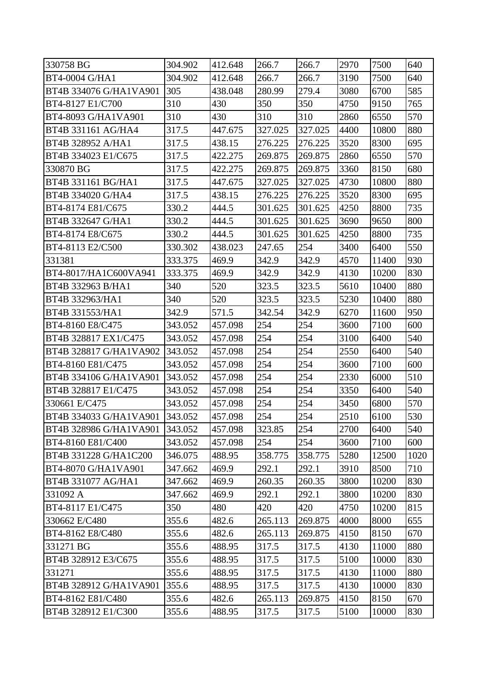| 330758 BG                 | 304.902 | 412.648 | 266.7   | 266.7   | 2970 | 7500  | 640  |
|---------------------------|---------|---------|---------|---------|------|-------|------|
| BT4-0004 G/HA1            | 304.902 | 412.648 | 266.7   | 266.7   | 3190 | 7500  | 640  |
| BT4B 334076 G/HA1VA901    | 305     | 438.048 | 280.99  | 279.4   | 3080 | 6700  | 585  |
| BT4-8127 E1/C700          | 310     | 430     | 350     | 350     | 4750 | 9150  | 765  |
| BT4-8093 G/HA1VA901       | 310     | 430     | 310     | 310     | 2860 | 6550  | 570  |
| BT4B 331161 AG/HA4        | 317.5   | 447.675 | 327.025 | 327.025 | 4400 | 10800 | 880  |
| <b>BT4B 328952 A/HA1</b>  | 317.5   | 438.15  | 276.225 | 276.225 | 3520 | 8300  | 695  |
| BT4B 334023 E1/C675       | 317.5   | 422.275 | 269.875 | 269.875 | 2860 | 6550  | 570  |
| 330870 BG                 | 317.5   | 422.275 | 269.875 | 269.875 | 3360 | 8150  | 680  |
| <b>BT4B 331161 BG/HA1</b> | 317.5   | 447.675 | 327.025 | 327.025 | 4730 | 10800 | 880  |
| BT4B 334020 G/HA4         | 317.5   | 438.15  | 276.225 | 276.225 | 3520 | 8300  | 695  |
| BT4-8174 E81/C675         | 330.2   | 444.5   | 301.625 | 301.625 | 4250 | 8800  | 735  |
| <b>BT4B 332647 G/HA1</b>  | 330.2   | 444.5   | 301.625 | 301.625 | 3690 | 9650  | 800  |
| BT4-8174 E8/C675          | 330.2   | 444.5   | 301.625 | 301.625 | 4250 | 8800  | 735  |
| BT4-8113 E2/C500          | 330.302 | 438.023 | 247.65  | 254     | 3400 | 6400  | 550  |
| 331381                    | 333.375 | 469.9   | 342.9   | 342.9   | 4570 | 11400 | 930  |
| BT4-8017/HA1C600VA941     | 333.375 | 469.9   | 342.9   | 342.9   | 4130 | 10200 | 830  |
| BT4B 332963 B/HA1         | 340     | 520     | 323.5   | 323.5   | 5610 | 10400 | 880  |
| BT4B 332963/HA1           | 340     | 520     | 323.5   | 323.5   | 5230 | 10400 | 880  |
| BT4B 331553/HA1           | 342.9   | 571.5   | 342.54  | 342.9   | 6270 | 11600 | 950  |
| BT4-8160 E8/C475          | 343.052 | 457.098 | 254     | 254     | 3600 | 7100  | 600  |
| BT4B 328817 EX1/C475      | 343.052 | 457.098 | 254     | 254     | 3100 | 6400  | 540  |
| BT4B 328817 G/HA1VA902    | 343.052 | 457.098 | 254     | 254     | 2550 | 6400  | 540  |
| BT4-8160 E81/C475         | 343.052 | 457.098 | 254     | 254     | 3600 | 7100  | 600  |
| BT4B 334106 G/HA1VA901    | 343.052 | 457.098 | 254     | 254     | 2330 | 6000  | 510  |
| BT4B 328817 E1/C475       | 343.052 | 457.098 | 254     | 254     | 3350 | 6400  | 540  |
| 330661 E/C475             | 343.052 | 457.098 | 254     | 254     | 3450 | 6800  | 570  |
| BT4B 334033 G/HA1VA901    | 343.052 | 457.098 | 254     | 254     | 2510 | 6100  | 530  |
| BT4B 328986 G/HA1VA901    | 343.052 | 457.098 | 323.85  | 254     | 2700 | 6400  | 540  |
| BT4-8160 E81/C400         | 343.052 | 457.098 | 254     | 254     | 3600 | 7100  | 600  |
| BT4B 331228 G/HA1C200     | 346.075 | 488.95  | 358.775 | 358.775 | 5280 | 12500 | 1020 |
| BT4-8070 G/HA1VA901       | 347.662 | 469.9   | 292.1   | 292.1   | 3910 | 8500  | 710  |
| <b>BT4B 331077 AG/HA1</b> | 347.662 | 469.9   | 260.35  | 260.35  | 3800 | 10200 | 830  |
| 331092 A                  | 347.662 | 469.9   | 292.1   | 292.1   | 3800 | 10200 | 830  |
| BT4-8117 E1/C475          | 350     | 480     | 420     | 420     | 4750 | 10200 | 815  |
| 330662 E/C480             | 355.6   | 482.6   | 265.113 | 269.875 | 4000 | 8000  | 655  |
| BT4-8162 E8/C480          | 355.6   | 482.6   | 265.113 | 269.875 | 4150 | 8150  | 670  |
| 331271 BG                 | 355.6   | 488.95  | 317.5   | 317.5   | 4130 | 11000 | 880  |
| BT4B 328912 E3/C675       | 355.6   | 488.95  | 317.5   | 317.5   | 5100 | 10000 | 830  |
| 331271                    | 355.6   | 488.95  | 317.5   | 317.5   | 4130 | 11000 | 880  |
| BT4B 328912 G/HA1VA901    | 355.6   | 488.95  | 317.5   | 317.5   | 4130 | 10000 | 830  |
| BT4-8162 E81/C480         | 355.6   | 482.6   | 265.113 | 269.875 | 4150 | 8150  | 670  |
| BT4B 328912 E1/C300       | 355.6   | 488.95  | 317.5   | 317.5   | 5100 | 10000 | 830  |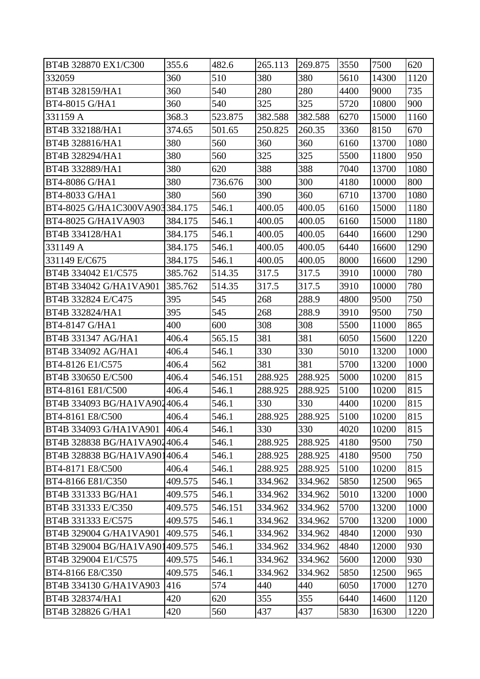| BT4B 328870 EX1/C300           | 355.6   | 482.6   | 265.113 | 269.875 | 3550 | 7500  | 620  |
|--------------------------------|---------|---------|---------|---------|------|-------|------|
| 332059                         | 360     | 510     | 380     | 380     | 5610 | 14300 | 1120 |
| BT4B 328159/HA1                | 360     | 540     | 280     | 280     | 4400 | 9000  | 735  |
| BT4-8015 G/HA1                 | 360     | 540     | 325     | 325     | 5720 | 10800 | 900  |
| 331159 A                       | 368.3   | 523.875 | 382.588 | 382.588 | 6270 | 15000 | 1160 |
| BT4B 332188/HA1                | 374.65  | 501.65  | 250.825 | 260.35  | 3360 | 8150  | 670  |
| BT4B 328816/HA1                | 380     | 560     | 360     | 360     | 6160 | 13700 | 1080 |
| BT4B 328294/HA1                | 380     | 560     | 325     | 325     | 5500 | 11800 | 950  |
| BT4B 332889/HA1                | 380     | 620     | 388     | 388     | 7040 | 13700 | 1080 |
| <b>BT4-8086 G/HA1</b>          | 380     | 736.676 | 300     | 300     | 4180 | 10000 | 800  |
| BT4-8033 G/HA1                 | 380     | 560     | 390     | 360     | 6710 | 13700 | 1080 |
| BT4-8025 G/HA1C300VA903384.175 |         | 546.1   | 400.05  | 400.05  | 6160 | 15000 | 1180 |
| BT4-8025 G/HA1VA903            | 384.175 | 546.1   | 400.05  | 400.05  | 6160 | 15000 | 1180 |
| BT4B 334128/HA1                | 384.175 | 546.1   | 400.05  | 400.05  | 6440 | 16600 | 1290 |
| 331149 A                       | 384.175 | 546.1   | 400.05  | 400.05  | 6440 | 16600 | 1290 |
| 331149 E/C675                  | 384.175 | 546.1   | 400.05  | 400.05  | 8000 | 16600 | 1290 |
| BT4B 334042 E1/C575            | 385.762 | 514.35  | 317.5   | 317.5   | 3910 | 10000 | 780  |
| BT4B 334042 G/HA1VA901         | 385.762 | 514.35  | 317.5   | 317.5   | 3910 | 10000 | 780  |
| BT4B 332824 E/C475             | 395     | 545     | 268     | 288.9   | 4800 | 9500  | 750  |
| BT4B 332824/HA1                | 395     | 545     | 268     | 288.9   | 3910 | 9500  | 750  |
| BT4-8147 G/HA1                 | 400     | 600     | 308     | 308     | 5500 | 11000 | 865  |
| BT4B 331347 AG/HA1             | 406.4   | 565.15  | 381     | 381     | 6050 | 15600 | 1220 |
| BT4B 334092 AG/HA1             | 406.4   | 546.1   | 330     | 330     | 5010 | 13200 | 1000 |
| BT4-8126 E1/C575               | 406.4   | 562     | 381     | 381     | 5700 | 13200 | 1000 |
| BT4B 330650 E/C500             | 406.4   | 546.151 | 288.925 | 288.925 | 5000 | 10200 | 815  |
| BT4-8161 E81/C500              | 406.4   | 546.1   | 288.925 | 288.925 | 5100 | 10200 | 815  |
| BT4B 334093 BG/HA1VA902406.4   |         | 546.1   | 330     | 330     | 4400 | 10200 | 815  |
| BT4-8161 E8/C500               | 406.4   | 546.1   | 288.925 | 288.925 | 5100 | 10200 | 815  |
| BT4B 334093 G/HA1VA901         | 406.4   | 546.1   | 330     | 330     | 4020 | 10200 | 815  |
| BT4B 328838 BG/HA1VA902406.4   |         | 546.1   | 288.925 | 288.925 | 4180 | 9500  | 750  |
| BT4B 328838 BG/HA1VA901406.4   |         | 546.1   | 288.925 | 288.925 | 4180 | 9500  | 750  |
| BT4-8171 E8/C500               | 406.4   | 546.1   | 288.925 | 288.925 | 5100 | 10200 | 815  |
| BT4-8166 E81/C350              | 409.575 | 546.1   | 334.962 | 334.962 | 5850 | 12500 | 965  |
| BT4B 331333 BG/HA1             | 409.575 | 546.1   | 334.962 | 334.962 | 5010 | 13200 | 1000 |
| BT4B 331333 E/C350             | 409.575 | 546.151 | 334.962 | 334.962 | 5700 | 13200 | 1000 |
| BT4B 331333 E/C575             | 409.575 | 546.1   | 334.962 | 334.962 | 5700 | 13200 | 1000 |
| BT4B 329004 G/HA1VA901         | 409.575 | 546.1   | 334.962 | 334.962 | 4840 | 12000 | 930  |
| BT4B 329004 BG/HA1VA901409.575 |         | 546.1   | 334.962 | 334.962 | 4840 | 12000 | 930  |
| BT4B 329004 E1/C575            | 409.575 | 546.1   | 334.962 | 334.962 | 5600 | 12000 | 930  |
| BT4-8166 E8/C350               | 409.575 | 546.1   | 334.962 | 334.962 | 5850 | 12500 | 965  |
| BT4B 334130 G/HA1VA903         | 416     | 574     | 440     | 440     | 6050 | 17000 | 1270 |
| BT4B 328374/HA1                | 420     | 620     | 355     | 355     | 6440 | 14600 | 1120 |
| BT4B 328826 G/HA1              | 420     | 560     | 437     | 437     | 5830 | 16300 | 1220 |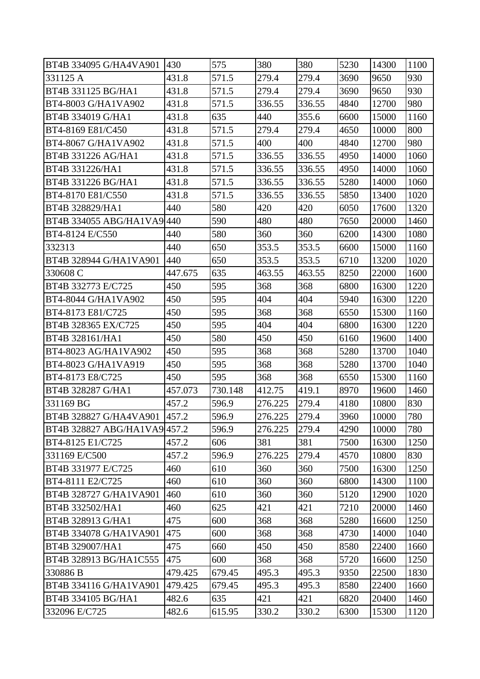| BT4B 334095 G/HA4VA901       | 430     | 575     | 380     | 380    | 5230 | 14300 | 1100 |
|------------------------------|---------|---------|---------|--------|------|-------|------|
| 331125 A                     | 431.8   | 571.5   | 279.4   | 279.4  | 3690 | 9650  | 930  |
| BT4B 331125 BG/HA1           | 431.8   | 571.5   | 279.4   | 279.4  | 3690 | 9650  | 930  |
| BT4-8003 G/HA1VA902          | 431.8   | 571.5   | 336.55  | 336.55 | 4840 | 12700 | 980  |
| BT4B 334019 G/HA1            | 431.8   | 635     | 440     | 355.6  | 6600 | 15000 | 1160 |
| BT4-8169 E81/C450            | 431.8   | 571.5   | 279.4   | 279.4  | 4650 | 10000 | 800  |
| BT4-8067 G/HA1VA902          | 431.8   | 571.5   | 400     | 400    | 4840 | 12700 | 980  |
| BT4B 331226 AG/HA1           | 431.8   | 571.5   | 336.55  | 336.55 | 4950 | 14000 | 1060 |
| BT4B 331226/HA1              | 431.8   | 571.5   | 336.55  | 336.55 | 4950 | 14000 | 1060 |
| BT4B 331226 BG/HA1           | 431.8   | 571.5   | 336.55  | 336.55 | 5280 | 14000 | 1060 |
| BT4-8170 E81/C550            | 431.8   | 571.5   | 336.55  | 336.55 | 5850 | 13400 | 1020 |
| BT4B 328829/HA1              | 440     | 580     | 420     | 420    | 6050 | 17600 | 1320 |
| BT4B 334055 ABG/HA1VA9440    |         | 590     | 480     | 480    | 7650 | 20000 | 1460 |
| BT4-8124 E/C550              | 440     | 580     | 360     | 360    | 6200 | 14300 | 1080 |
| 332313                       | 440     | 650     | 353.5   | 353.5  | 6600 | 15000 | 1160 |
| BT4B 328944 G/HA1VA901       | 440     | 650     | 353.5   | 353.5  | 6710 | 13200 | 1020 |
| 330608 C                     | 447.675 | 635     | 463.55  | 463.55 | 8250 | 22000 | 1600 |
| BT4B 332773 E/C725           | 450     | 595     | 368     | 368    | 6800 | 16300 | 1220 |
| BT4-8044 G/HA1VA902          | 450     | 595     | 404     | 404    | 5940 | 16300 | 1220 |
| BT4-8173 E81/C725            | 450     | 595     | 368     | 368    | 6550 | 15300 | 1160 |
| BT4B 328365 EX/C725          | 450     | 595     | 404     | 404    | 6800 | 16300 | 1220 |
| BT4B 328161/HA1              | 450     | 580     | 450     | 450    | 6160 | 19600 | 1400 |
| BT4-8023 AG/HA1VA902         | 450     | 595     | 368     | 368    | 5280 | 13700 | 1040 |
| BT4-8023 G/HA1VA919          | 450     | 595     | 368     | 368    | 5280 | 13700 | 1040 |
| BT4-8173 E8/C725             | 450     | 595     | 368     | 368    | 6550 | 15300 | 1160 |
| BT4B 328287 G/HA1            | 457.073 | 730.148 | 412.75  | 419.1  | 8970 | 19600 | 1460 |
| 331169 BG                    | 457.2   | 596.9   | 276.225 | 279.4  | 4180 | 10800 | 830  |
| BT4B 328827 G/HA4VA901       | 457.2   | 596.9   | 276.225 | 279.4  | 3960 | 10000 | 780  |
| BT4B 328827 ABG/HA1VA9 457.2 |         | 596.9   | 276.225 | 279.4  | 4290 | 10000 | 780  |
| BT4-8125 E1/C725             | 457.2   | 606     | 381     | 381    | 7500 | 16300 | 1250 |
| 331169 E/C500                | 457.2   | 596.9   | 276.225 | 279.4  | 4570 | 10800 | 830  |
| BT4B 331977 E/C725           | 460     | 610     | 360     | 360    | 7500 | 16300 | 1250 |
| BT4-8111 E2/C725             | 460     | 610     | 360     | 360    | 6800 | 14300 | 1100 |
| BT4B 328727 G/HA1VA901       | 460     | 610     | 360     | 360    | 5120 | 12900 | 1020 |
| BT4B 332502/HA1              | 460     | 625     | 421     | 421    | 7210 | 20000 | 1460 |
| BT4B 328913 G/HA1            | 475     | 600     | 368     | 368    | 5280 | 16600 | 1250 |
| BT4B 334078 G/HA1VA901       | 475     | 600     | 368     | 368    | 4730 | 14000 | 1040 |
| BT4B 329007/HA1              | 475     | 660     | 450     | 450    | 8580 | 22400 | 1660 |
| BT4B 328913 BG/HA1C555       | 475     | 600     | 368     | 368    | 5720 | 16600 | 1250 |
| 330886 B                     | 479.425 | 679.45  | 495.3   | 495.3  | 9350 | 22500 | 1830 |
| BT4B 334116 G/HA1VA901       | 479.425 | 679.45  | 495.3   | 495.3  | 8580 | 22400 | 1660 |
| <b>BT4B 334105 BG/HA1</b>    | 482.6   | 635     | 421     | 421    | 6820 | 20400 | 1460 |
| 332096 E/C725                | 482.6   | 615.95  | 330.2   | 330.2  | 6300 | 15300 | 1120 |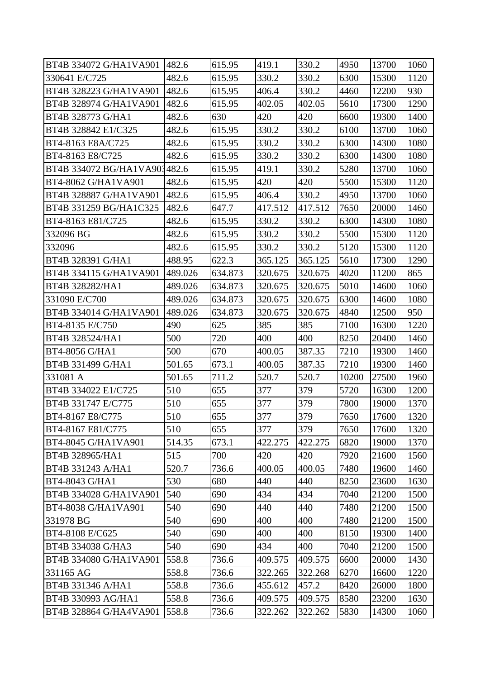| BT4B 334072 G/HA1VA901       | 482.6   | 615.95  | 419.1   | 330.2   | 4950  | 13700 | 1060 |
|------------------------------|---------|---------|---------|---------|-------|-------|------|
| 330641 E/C725                | 482.6   | 615.95  | 330.2   | 330.2   | 6300  | 15300 | 1120 |
| BT4B 328223 G/HA1VA901       | 482.6   | 615.95  | 406.4   | 330.2   | 4460  | 12200 | 930  |
| BT4B 328974 G/HA1VA901       | 482.6   | 615.95  | 402.05  | 402.05  | 5610  | 17300 | 1290 |
| BT4B 328773 G/HA1            | 482.6   | 630     | 420     | 420     | 6600  | 19300 | 1400 |
| BT4B 328842 E1/C325          | 482.6   | 615.95  | 330.2   | 330.2   | 6100  | 13700 | 1060 |
| BT4-8163 E8A/C725            | 482.6   | 615.95  | 330.2   | 330.2   | 6300  | 14300 | 1080 |
| BT4-8163 E8/C725             | 482.6   | 615.95  | 330.2   | 330.2   | 6300  | 14300 | 1080 |
| BT4B 334072 BG/HA1VA903482.6 |         | 615.95  | 419.1   | 330.2   | 5280  | 13700 | 1060 |
| BT4-8062 G/HA1VA901          | 482.6   | 615.95  | 420     | 420     | 5500  | 15300 | 1120 |
| BT4B 328887 G/HA1VA901       | 482.6   | 615.95  | 406.4   | 330.2   | 4950  | 13700 | 1060 |
| BT4B 331259 BG/HA1C325       | 482.6   | 647.7   | 417.512 | 417.512 | 7650  | 20000 | 1460 |
| BT4-8163 E81/C725            | 482.6   | 615.95  | 330.2   | 330.2   | 6300  | 14300 | 1080 |
| 332096 BG                    | 482.6   | 615.95  | 330.2   | 330.2   | 5500  | 15300 | 1120 |
| 332096                       | 482.6   | 615.95  | 330.2   | 330.2   | 5120  | 15300 | 1120 |
| BT4B 328391 G/HA1            | 488.95  | 622.3   | 365.125 | 365.125 | 5610  | 17300 | 1290 |
| BT4B 334115 G/HA1VA901       | 489.026 | 634.873 | 320.675 | 320.675 | 4020  | 11200 | 865  |
| BT4B 328282/HA1              | 489.026 | 634.873 | 320.675 | 320.675 | 5010  | 14600 | 1060 |
| 331090 E/C700                | 489.026 | 634.873 | 320.675 | 320.675 | 6300  | 14600 | 1080 |
| BT4B 334014 G/HA1VA901       | 489.026 | 634.873 | 320.675 | 320.675 | 4840  | 12500 | 950  |
| BT4-8135 E/C750              | 490     | 625     | 385     | 385     | 7100  | 16300 | 1220 |
| BT4B 328524/HA1              | 500     | 720     | 400     | 400     | 8250  | 20400 | 1460 |
| BT4-8056 G/HA1               | 500     | 670     | 400.05  | 387.35  | 7210  | 19300 | 1460 |
| BT4B 331499 G/HA1            | 501.65  | 673.1   | 400.05  | 387.35  | 7210  | 19300 | 1460 |
| 331081 A                     | 501.65  | 711.2   | 520.7   | 520.7   | 10200 | 27500 | 1960 |
| BT4B 334022 E1/C725          | 510     | 655     | 377     | 379     | 5720  | 16300 | 1200 |
| BT4B 331747 E/C775           | 510     | 655     | 377     | 379     | 7800  | 19000 | 1370 |
| BT4-8167 E8/C775             | 510     | 655     | 377     | 379     | 7650  | 17600 | 1320 |
| BT4-8167 E81/C775            | 510     | 655     | 377     | 379     | 7650  | 17600 | 1320 |
| BT4-8045 G/HA1VA901          | 514.35  | 673.1   | 422.275 | 422.275 | 6820  | 19000 | 1370 |
| BT4B 328965/HA1              | 515     | 700     | 420     | 420     | 7920  | 21600 | 1560 |
| BT4B 331243 A/HA1            | 520.7   | 736.6   | 400.05  | 400.05  | 7480  | 19600 | 1460 |
| BT4-8043 G/HA1               | 530     | 680     | 440     | 440     | 8250  | 23600 | 1630 |
| BT4B 334028 G/HA1VA901       | 540     | 690     | 434     | 434     | 7040  | 21200 | 1500 |
| BT4-8038 G/HA1VA901          | 540     | 690     | 440     | 440     | 7480  | 21200 | 1500 |
| 331978 BG                    | 540     | 690     | 400     | 400     | 7480  | 21200 | 1500 |
| BT4-8108 E/C625              | 540     | 690     | 400     | 400     | 8150  | 19300 | 1400 |
| BT4B 334038 G/HA3            | 540     | 690     | 434     | 400     | 7040  | 21200 | 1500 |
| BT4B 334080 G/HA1VA901       | 558.8   | 736.6   | 409.575 | 409.575 | 6600  | 20000 | 1430 |
| 331165 AG                    | 558.8   | 736.6   | 322.265 | 322.268 | 6270  | 16600 | 1220 |
| BT4B 331346 A/HA1            | 558.8   | 736.6   | 455.612 | 457.2   | 8420  | 26000 | 1800 |
| BT4B 330993 AG/HA1           | 558.8   | 736.6   | 409.575 | 409.575 | 8580  | 23200 | 1630 |
| BT4B 328864 G/HA4VA901       | 558.8   | 736.6   | 322.262 | 322.262 | 5830  | 14300 | 1060 |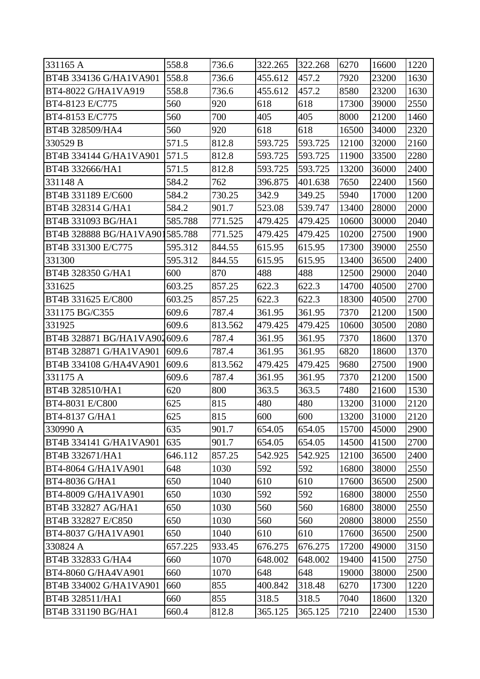| 331165 A                     | 558.8   | 736.6   | 322.265 | 322.268 | 6270  | 16600 | 1220 |
|------------------------------|---------|---------|---------|---------|-------|-------|------|
| BT4B 334136 G/HA1VA901       | 558.8   | 736.6   | 455.612 | 457.2   | 7920  | 23200 | 1630 |
| BT4-8022 G/HA1VA919          | 558.8   | 736.6   | 455.612 | 457.2   | 8580  | 23200 | 1630 |
| BT4-8123 E/C775              | 560     | 920     | 618     | 618     | 17300 | 39000 | 2550 |
| BT4-8153 E/C775              | 560     | 700     | 405     | 405     | 8000  | 21200 | 1460 |
| BT4B 328509/HA4              | 560     | 920     | 618     | 618     | 16500 | 34000 | 2320 |
| 330529 B                     | 571.5   | 812.8   | 593.725 | 593.725 | 12100 | 32000 | 2160 |
| BT4B 334144 G/HA1VA901       | 571.5   | 812.8   | 593.725 | 593.725 | 11900 | 33500 | 2280 |
| BT4B 332666/HA1              | 571.5   | 812.8   | 593.725 | 593.725 | 13200 | 36000 | 2400 |
| 331148 A                     | 584.2   | 762     | 396.875 | 401.638 | 7650  | 22400 | 1560 |
| BT4B 331189 E/C600           | 584.2   | 730.25  | 342.9   | 349.25  | 5940  | 17000 | 1200 |
| BT4B 328314 G/HA1            | 584.2   | 901.7   | 523.08  | 539.747 | 13400 | 28000 | 2000 |
| BT4B 331093 BG/HA1           | 585.788 | 771.525 | 479.425 | 479.425 | 10600 | 30000 | 2040 |
| BT4B 328888 BG/HA1VA901      | 585.788 | 771.525 | 479.425 | 479.425 | 10200 | 27500 | 1900 |
| BT4B 331300 E/C775           | 595.312 | 844.55  | 615.95  | 615.95  | 17300 | 39000 | 2550 |
| 331300                       | 595.312 | 844.55  | 615.95  | 615.95  | 13400 | 36500 | 2400 |
| BT4B 328350 G/HA1            | 600     | 870     | 488     | 488     | 12500 | 29000 | 2040 |
| 331625                       | 603.25  | 857.25  | 622.3   | 622.3   | 14700 | 40500 | 2700 |
| BT4B 331625 E/C800           | 603.25  | 857.25  | 622.3   | 622.3   | 18300 | 40500 | 2700 |
| 331175 BG/C355               | 609.6   | 787.4   | 361.95  | 361.95  | 7370  | 21200 | 1500 |
| 331925                       | 609.6   | 813.562 | 479.425 | 479.425 | 10600 | 30500 | 2080 |
| BT4B 328871 BG/HA1VA902609.6 |         | 787.4   | 361.95  | 361.95  | 7370  | 18600 | 1370 |
| BT4B 328871 G/HA1VA901       | 609.6   | 787.4   | 361.95  | 361.95  | 6820  | 18600 | 1370 |
| BT4B 334108 G/HA4VA901       | 609.6   | 813.562 | 479.425 | 479.425 | 9680  | 27500 | 1900 |
| 331175 A                     | 609.6   | 787.4   | 361.95  | 361.95  | 7370  | 21200 | 1500 |
| BT4B 328510/HA1              | 620     | 800     | 363.5   | 363.5   | 7480  | 21600 | 1530 |
| BT4-8031 E/C800              | 625     | 815     | 480     | 480     | 13200 | 31000 | 2120 |
| BT4-8137 G/HA1               | 625     | 815     | 600     | 600     | 13200 | 31000 | 2120 |
| 330990 A                     | 635     | 901.7   | 654.05  | 654.05  | 15700 | 45000 | 2900 |
| BT4B 334141 G/HA1VA901       | 635     | 901.7   | 654.05  | 654.05  | 14500 | 41500 | 2700 |
| BT4B 332671/HA1              | 646.112 | 857.25  | 542.925 | 542.925 | 12100 | 36500 | 2400 |
| BT4-8064 G/HA1VA901          | 648     | 1030    | 592     | 592     | 16800 | 38000 | 2550 |
| BT4-8036 G/HA1               | 650     | 1040    | 610     | 610     | 17600 | 36500 | 2500 |
| BT4-8009 G/HA1VA901          | 650     | 1030    | 592     | 592     | 16800 | 38000 | 2550 |
| BT4B 332827 AG/HA1           | 650     | 1030    | 560     | 560     | 16800 | 38000 | 2550 |
| BT4B 332827 E/C850           | 650     | 1030    | 560     | 560     | 20800 | 38000 | 2550 |
| BT4-8037 G/HA1VA901          | 650     | 1040    | 610     | 610     | 17600 | 36500 | 2500 |
| 330824 A                     | 657.225 | 933.45  | 676.275 | 676.275 | 17200 | 49000 | 3150 |
| BT4B 332833 G/HA4            | 660     | 1070    | 648.002 | 648.002 | 19400 | 41500 | 2750 |
| BT4-8060 G/HA4VA901          | 660     | 1070    | 648     | 648     | 19000 | 38000 | 2500 |
| BT4B 334002 G/HA1VA901       | 660     | 855     | 400.842 | 318.48  | 6270  | 17300 | 1220 |
| BT4B 328511/HA1              | 660     | 855     | 318.5   | 318.5   | 7040  | 18600 | 1320 |
| BT4B 331190 BG/HA1           | 660.4   | 812.8   | 365.125 | 365.125 | 7210  | 22400 | 1530 |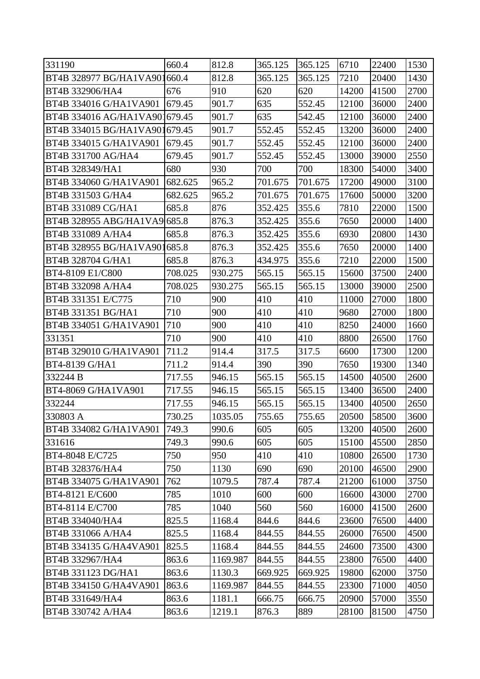| 331190                        | 660.4   | 812.8    | 365.125 | 365.125 | 6710  | 22400 | 1530 |
|-------------------------------|---------|----------|---------|---------|-------|-------|------|
| BT4B 328977 BG/HA1VA901       | 660.4   | 812.8    | 365.125 | 365.125 | 7210  | 20400 | 1430 |
| BT4B 332906/HA4               | 676     | 910      | 620     | 620     | 14200 | 41500 | 2700 |
| BT4B 334016 G/HA1VA901        | 679.45  | 901.7    | 635     | 552.45  | 12100 | 36000 | 2400 |
| BT4B 334016 AG/HA1VA901679.45 |         | 901.7    | 635     | 542.45  | 12100 | 36000 | 2400 |
| BT4B 334015 BG/HA1VA901679.45 |         | 901.7    | 552.45  | 552.45  | 13200 | 36000 | 2400 |
| BT4B 334015 G/HA1VA901        | 679.45  | 901.7    | 552.45  | 552.45  | 12100 | 36000 | 2400 |
| BT4B 331700 AG/HA4            | 679.45  | 901.7    | 552.45  | 552.45  | 13000 | 39000 | 2550 |
| BT4B 328349/HA1               | 680     | 930      | 700     | 700     | 18300 | 54000 | 3400 |
| BT4B 334060 G/HA1VA901        | 682.625 | 965.2    | 701.675 | 701.675 | 17200 | 49000 | 3100 |
| BT4B 331503 G/HA4             | 682.625 | 965.2    | 701.675 | 701.675 | 17600 | 50000 | 3200 |
| BT4B 331089 CG/HA1            | 685.8   | 876      | 352.425 | 355.6   | 7810  | 22000 | 1500 |
| BT4B 328955 ABG/HA1VA9 685.8  |         | 876.3    | 352.425 | 355.6   | 7650  | 20000 | 1400 |
| BT4B 331089 A/HA4             | 685.8   | 876.3    | 352.425 | 355.6   | 6930  | 20800 | 1430 |
| BT4B 328955 BG/HA1VA901       | 685.8   | 876.3    | 352.425 | 355.6   | 7650  | 20000 | 1400 |
| BT4B 328704 G/HA1             | 685.8   | 876.3    | 434.975 | 355.6   | 7210  | 22000 | 1500 |
| BT4-8109 E1/C800              | 708.025 | 930.275  | 565.15  | 565.15  | 15600 | 37500 | 2400 |
| BT4B 332098 A/HA4             | 708.025 | 930.275  | 565.15  | 565.15  | 13000 | 39000 | 2500 |
| BT4B 331351 E/C775            | 710     | 900      | 410     | 410     | 11000 | 27000 | 1800 |
| BT4B 331351 BG/HA1            | 710     | 900      | 410     | 410     | 9680  | 27000 | 1800 |
| BT4B 334051 G/HA1VA901        | 710     | 900      | 410     | 410     | 8250  | 24000 | 1660 |
| 331351                        | 710     | 900      | 410     | 410     | 8800  | 26500 | 1760 |
| BT4B 329010 G/HA1VA901        | 711.2   | 914.4    | 317.5   | 317.5   | 6600  | 17300 | 1200 |
| BT4-8139 G/HA1                | 711.2   | 914.4    | 390     | 390     | 7650  | 19300 | 1340 |
| 332244 B                      | 717.55  | 946.15   | 565.15  | 565.15  | 14500 | 40500 | 2600 |
| BT4-8069 G/HA1VA901           | 717.55  | 946.15   | 565.15  | 565.15  | 13400 | 36500 | 2400 |
| 332244                        | 717.55  | 946.15   | 565.15  | 565.15  | 13400 | 40500 | 2650 |
| 330803 A                      | 730.25  | 1035.05  | 755.65  | 755.65  | 20500 | 58500 | 3600 |
| BT4B 334082 G/HA1VA901        | 749.3   | 990.6    | 605     | 605     | 13200 | 40500 | 2600 |
| 331616                        | 749.3   | 990.6    | 605     | 605     | 15100 | 45500 | 2850 |
| BT4-8048 E/C725               | 750     | 950      | 410     | 410     | 10800 | 26500 | 1730 |
| BT4B 328376/HA4               | 750     | 1130     | 690     | 690     | 20100 | 46500 | 2900 |
| BT4B 334075 G/HA1VA901        | 762     | 1079.5   | 787.4   | 787.4   | 21200 | 61000 | 3750 |
| BT4-8121 E/C600               | 785     | 1010     | 600     | 600     | 16600 | 43000 | 2700 |
| BT4-8114 E/C700               | 785     | 1040     | 560     | 560     | 16000 | 41500 | 2600 |
| BT4B 334040/HA4               | 825.5   | 1168.4   | 844.6   | 844.6   | 23600 | 76500 | 4400 |
| BT4B 331066 A/HA4             | 825.5   | 1168.4   | 844.55  | 844.55  | 26000 | 76500 | 4500 |
| BT4B 334135 G/HA4VA901        | 825.5   | 1168.4   | 844.55  | 844.55  | 24600 | 73500 | 4300 |
| BT4B 332967/HA4               | 863.6   | 1169.987 | 844.55  | 844.55  | 23800 | 76500 | 4400 |
| BT4B 331123 DG/HA1            | 863.6   | 1130.3   | 669.925 | 669.925 | 19800 | 62000 | 3750 |
| BT4B 334150 G/HA4VA901        | 863.6   | 1169.987 | 844.55  | 844.55  | 23300 | 71000 | 4050 |
| BT4B 331649/HA4               | 863.6   | 1181.1   | 666.75  | 666.75  | 20900 | 57000 | 3550 |
| BT4B 330742 A/HA4             | 863.6   | 1219.1   | 876.3   | 889     | 28100 | 81500 | 4750 |